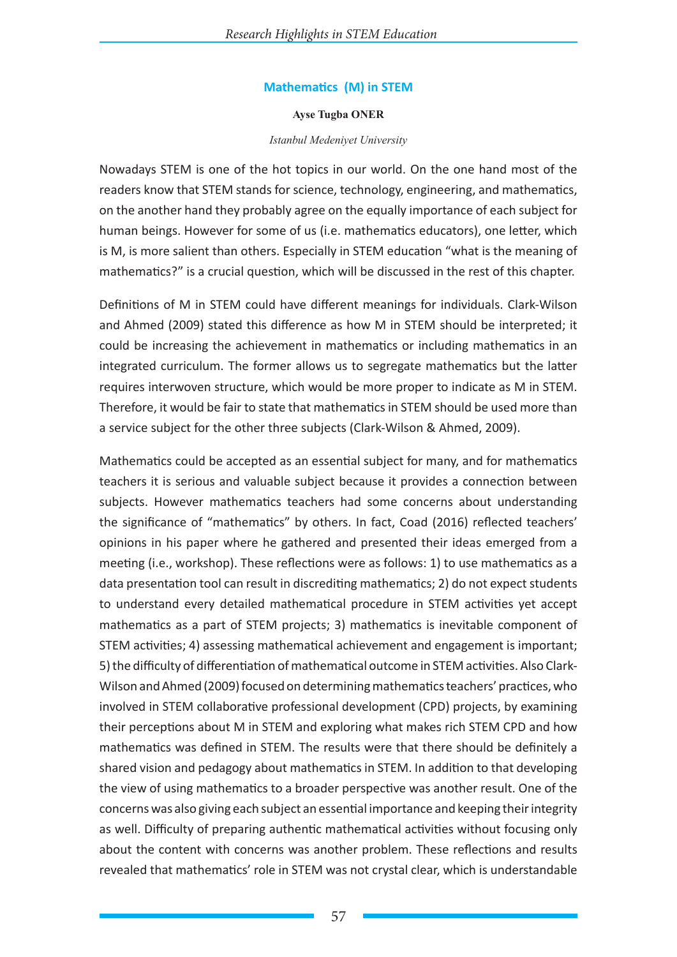# **Mathematics (M) in STEM**

#### **Ayse Tugba ONER**

### *Istanbul Medeniyet University*

Nowadays STEM is one of the hot topics in our world. On the one hand most of the readers know that STEM stands for science, technology, engineering, and mathematics, on the another hand they probably agree on the equally importance of each subject for human beings. However for some of us (i.e. mathematics educators), one letter, which is M, is more salient than others. Especially in STEM education "what is the meaning of mathematics?" is a crucial question, which will be discussed in the rest of this chapter.

Definitions of M in STEM could have different meanings for individuals. Clark-Wilson and Ahmed (2009) stated this difference as how M in STEM should be interpreted; it could be increasing the achievement in mathematics or including mathematics in an integrated curriculum. The former allows us to segregate mathematics but the latter requires interwoven structure, which would be more proper to indicate as M in STEM. Therefore, it would be fair to state that mathematics in STEM should be used more than a service subject for the other three subjects (Clark-Wilson & Ahmed, 2009).

Mathematics could be accepted as an essential subject for many, and for mathematics teachers it is serious and valuable subject because it provides a connection between subjects. However mathematics teachers had some concerns about understanding the significance of "mathematics" by others. In fact, Coad (2016) reflected teachers' opinions in his paper where he gathered and presented their ideas emerged from a meeting (i.e., workshop). These reflections were as follows: 1) to use mathematics as a data presentation tool can result in discrediting mathematics; 2) do not expect students to understand every detailed mathematical procedure in STEM activities yet accept mathematics as a part of STEM projects; 3) mathematics is inevitable component of STEM activities; 4) assessing mathematical achievement and engagement is important; 5) the difficulty of differentiation of mathematical outcome in STEM activities. Also Clark-Wilson and Ahmed (2009) focused on determining mathematics teachers' practices, who involved in STEM collaborative professional development (CPD) projects, by examining their perceptions about M in STEM and exploring what makes rich STEM CPD and how mathematics was defined in STEM. The results were that there should be definitely a shared vision and pedagogy about mathematics in STEM. In addition to that developing the view of using mathematics to a broader perspective was another result. One of the concerns was also giving each subject an essential importance and keeping their integrity as well. Difficulty of preparing authentic mathematical activities without focusing only about the content with concerns was another problem. These reflections and results revealed that mathematics' role in STEM was not crystal clear, which is understandable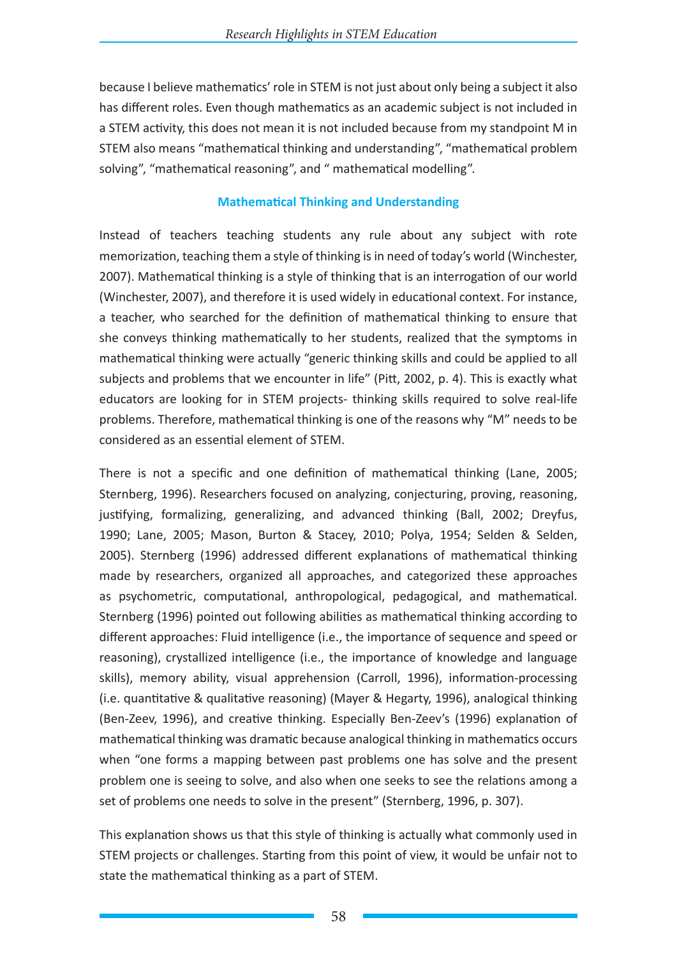because I believe mathematics' role in STEM is not just about only being a subject it also has different roles. Even though mathematics as an academic subject is not included in a STEM activity, this does not mean it is not included because from my standpoint M in STEM also means "mathematical thinking and understanding", "mathematical problem solving", "mathematical reasoning", and " mathematical modelling".

## **Mathematical Thinking and Understanding**

Instead of teachers teaching students any rule about any subject with rote memorization, teaching them a style of thinking is in need of today's world (Winchester, 2007). Mathematical thinking is a style of thinking that is an interrogation of our world (Winchester, 2007), and therefore it is used widely in educational context. For instance, a teacher, who searched for the definition of mathematical thinking to ensure that she conveys thinking mathematically to her students, realized that the symptoms in mathematical thinking were actually "generic thinking skills and could be applied to all subjects and problems that we encounter in life" (Pitt, 2002, p. 4). This is exactly what educators are looking for in STEM projects- thinking skills required to solve real-life problems. Therefore, mathematical thinking is one of the reasons why "M" needs to be considered as an essential element of STEM.

There is not a specific and one definition of mathematical thinking (Lane, 2005; Sternberg, 1996). Researchers focused on analyzing, conjecturing, proving, reasoning, justifying, formalizing, generalizing, and advanced thinking (Ball, 2002; Dreyfus, 1990; Lane, 2005; Mason, Burton & Stacey, 2010; Polya, 1954; Selden & Selden, 2005). Sternberg (1996) addressed different explanations of mathematical thinking made by researchers, organized all approaches, and categorized these approaches as psychometric, computational, anthropological, pedagogical, and mathematical. Sternberg (1996) pointed out following abilities as mathematical thinking according to different approaches: Fluid intelligence (i.e., the importance of sequence and speed or reasoning), crystallized intelligence (i.e., the importance of knowledge and language skills), memory ability, visual apprehension (Carroll, 1996), information-processing (i.e. quantitative & qualitative reasoning) (Mayer & Hegarty, 1996), analogical thinking (Ben-Zeev, 1996), and creative thinking. Especially Ben-Zeev's (1996) explanation of mathematical thinking was dramatic because analogical thinking in mathematics occurs when "one forms a mapping between past problems one has solve and the present problem one is seeing to solve, and also when one seeks to see the relations among a set of problems one needs to solve in the present" (Sternberg, 1996, p. 307).

This explanation shows us that this style of thinking is actually what commonly used in STEM projects or challenges. Starting from this point of view, it would be unfair not to state the mathematical thinking as a part of STEM.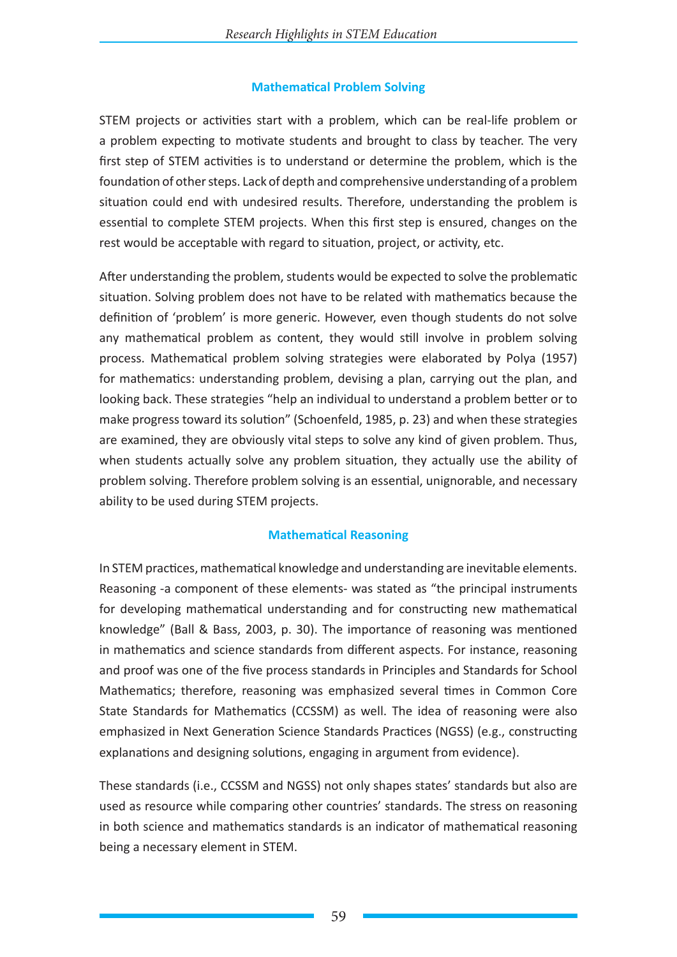# **Mathematical Problem Solving**

STEM projects or activities start with a problem, which can be real-life problem or a problem expecting to motivate students and brought to class by teacher. The very first step of STEM activities is to understand or determine the problem, which is the foundation of other steps. Lack of depth and comprehensive understanding of a problem situation could end with undesired results. Therefore, understanding the problem is essential to complete STEM projects. When this first step is ensured, changes on the rest would be acceptable with regard to situation, project, or activity, etc.

After understanding the problem, students would be expected to solve the problematic situation. Solving problem does not have to be related with mathematics because the definition of 'problem' is more generic. However, even though students do not solve any mathematical problem as content, they would still involve in problem solving process. Mathematical problem solving strategies were elaborated by Polya (1957) for mathematics: understanding problem, devising a plan, carrying out the plan, and looking back. These strategies "help an individual to understand a problem better or to make progress toward its solution" (Schoenfeld, 1985, p. 23) and when these strategies are examined, they are obviously vital steps to solve any kind of given problem. Thus, when students actually solve any problem situation, they actually use the ability of problem solving. Therefore problem solving is an essential, unignorable, and necessary ability to be used during STEM projects.

# **Mathematical Reasoning**

In STEM practices, mathematical knowledge and understanding are inevitable elements. Reasoning -a component of these elements- was stated as "the principal instruments for developing mathematical understanding and for constructing new mathematical knowledge" (Ball & Bass, 2003, p. 30). The importance of reasoning was mentioned in mathematics and science standards from different aspects. For instance, reasoning and proof was one of the five process standards in Principles and Standards for School Mathematics; therefore, reasoning was emphasized several times in Common Core State Standards for Mathematics (CCSSM) as well. The idea of reasoning were also emphasized in Next Generation Science Standards Practices (NGSS) (e.g., constructing explanations and designing solutions, engaging in argument from evidence).

These standards (i.e., CCSSM and NGSS) not only shapes states' standards but also are used as resource while comparing other countries' standards. The stress on reasoning in both science and mathematics standards is an indicator of mathematical reasoning being a necessary element in STEM.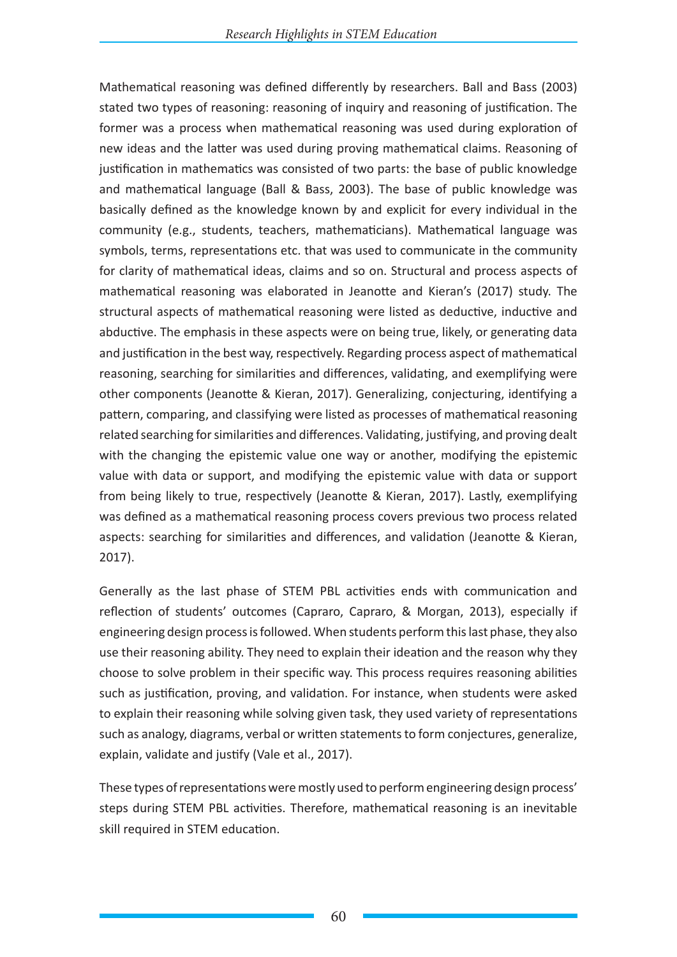Mathematical reasoning was defined differently by researchers. Ball and Bass (2003) stated two types of reasoning: reasoning of inquiry and reasoning of justification. The former was a process when mathematical reasoning was used during exploration of new ideas and the latter was used during proving mathematical claims. Reasoning of justification in mathematics was consisted of two parts: the base of public knowledge and mathematical language (Ball & Bass, 2003). The base of public knowledge was basically defined as the knowledge known by and explicit for every individual in the community (e.g., students, teachers, mathematicians). Mathematical language was symbols, terms, representations etc. that was used to communicate in the community for clarity of mathematical ideas, claims and so on. Structural and process aspects of mathematical reasoning was elaborated in Jeanotte and Kieran's (2017) study. The structural aspects of mathematical reasoning were listed as deductive, inductive and abductive. The emphasis in these aspects were on being true, likely, or generating data and justification in the best way, respectively. Regarding process aspect of mathematical reasoning, searching for similarities and differences, validating, and exemplifying were other components (Jeanotte & Kieran, 2017). Generalizing, conjecturing, identifying a pattern, comparing, and classifying were listed as processes of mathematical reasoning related searching for similarities and differences. Validating, justifying, and proving dealt with the changing the epistemic value one way or another, modifying the epistemic value with data or support, and modifying the epistemic value with data or support from being likely to true, respectively (Jeanotte & Kieran, 2017). Lastly, exemplifying was defined as a mathematical reasoning process covers previous two process related aspects: searching for similarities and differences, and validation (Jeanotte & Kieran, 2017).

Generally as the last phase of STEM PBL activities ends with communication and reflection of students' outcomes (Capraro, Capraro, & Morgan, 2013), especially if engineering design process is followed. When students perform this last phase, they also use their reasoning ability. They need to explain their ideation and the reason why they choose to solve problem in their specific way. This process requires reasoning abilities such as justification, proving, and validation. For instance, when students were asked to explain their reasoning while solving given task, they used variety of representations such as analogy, diagrams, verbal or written statements to form conjectures, generalize, explain, validate and justify (Vale et al., 2017).

These types of representations were mostly used to perform engineering design process' steps during STEM PBL activities. Therefore, mathematical reasoning is an inevitable skill required in STEM education.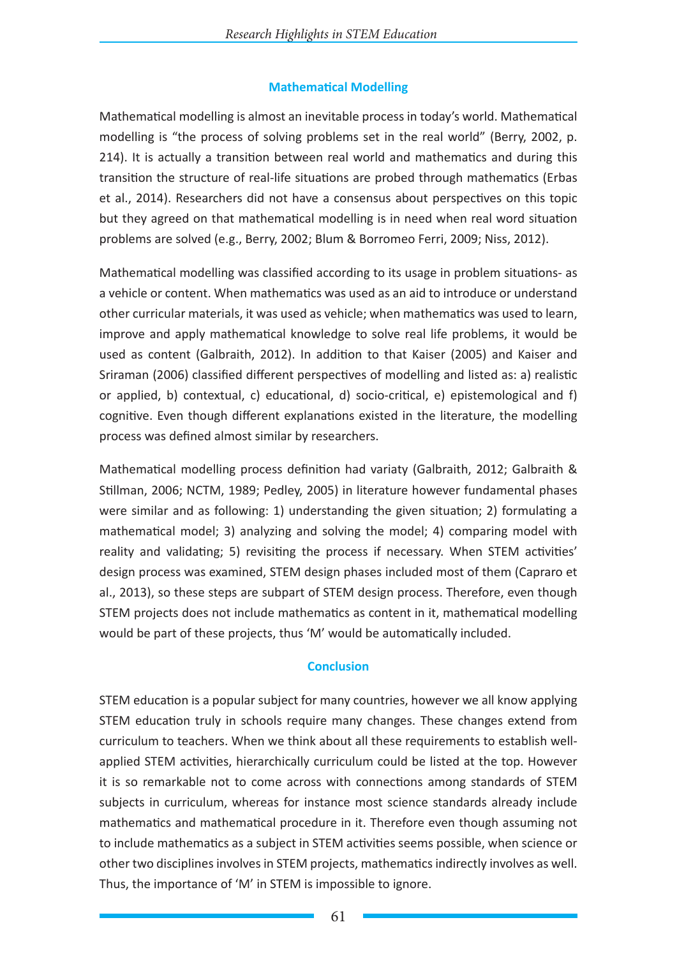## **Mathematical Modelling**

Mathematical modelling is almost an inevitable process in today's world. Mathematical modelling is "the process of solving problems set in the real world" (Berry, 2002, p. 214). It is actually a transition between real world and mathematics and during this transition the structure of real-life situations are probed through mathematics (Erbas et al., 2014). Researchers did not have a consensus about perspectives on this topic but they agreed on that mathematical modelling is in need when real word situation problems are solved (e.g., Berry, 2002; Blum & Borromeo Ferri, 2009; Niss, 2012).

Mathematical modelling was classified according to its usage in problem situations- as a vehicle or content. When mathematics was used as an aid to introduce or understand other curricular materials, it was used as vehicle; when mathematics was used to learn, improve and apply mathematical knowledge to solve real life problems, it would be used as content (Galbraith, 2012). In addition to that Kaiser (2005) and Kaiser and Sriraman (2006) classified different perspectives of modelling and listed as: a) realistic or applied, b) contextual, c) educational, d) socio-critical, e) epistemological and f) cognitive. Even though different explanations existed in the literature, the modelling process was defined almost similar by researchers.

Mathematical modelling process definition had variaty (Galbraith, 2012; Galbraith & Stillman, 2006; NCTM, 1989; Pedley, 2005) in literature however fundamental phases were similar and as following: 1) understanding the given situation; 2) formulating a mathematical model; 3) analyzing and solving the model; 4) comparing model with reality and validating; 5) revisiting the process if necessary. When STEM activities' design process was examined, STEM design phases included most of them (Capraro et al., 2013), so these steps are subpart of STEM design process. Therefore, even though STEM projects does not include mathematics as content in it, mathematical modelling would be part of these projects, thus 'M' would be automatically included.

# **Conclusion**

STEM education is a popular subject for many countries, however we all know applying STEM education truly in schools require many changes. These changes extend from curriculum to teachers. When we think about all these requirements to establish wellapplied STEM activities, hierarchically curriculum could be listed at the top. However it is so remarkable not to come across with connections among standards of STEM subjects in curriculum, whereas for instance most science standards already include mathematics and mathematical procedure in it. Therefore even though assuming not to include mathematics as a subject in STEM activities seems possible, when science or other two disciplines involves in STEM projects, mathematics indirectly involves as well. Thus, the importance of 'M' in STEM is impossible to ignore.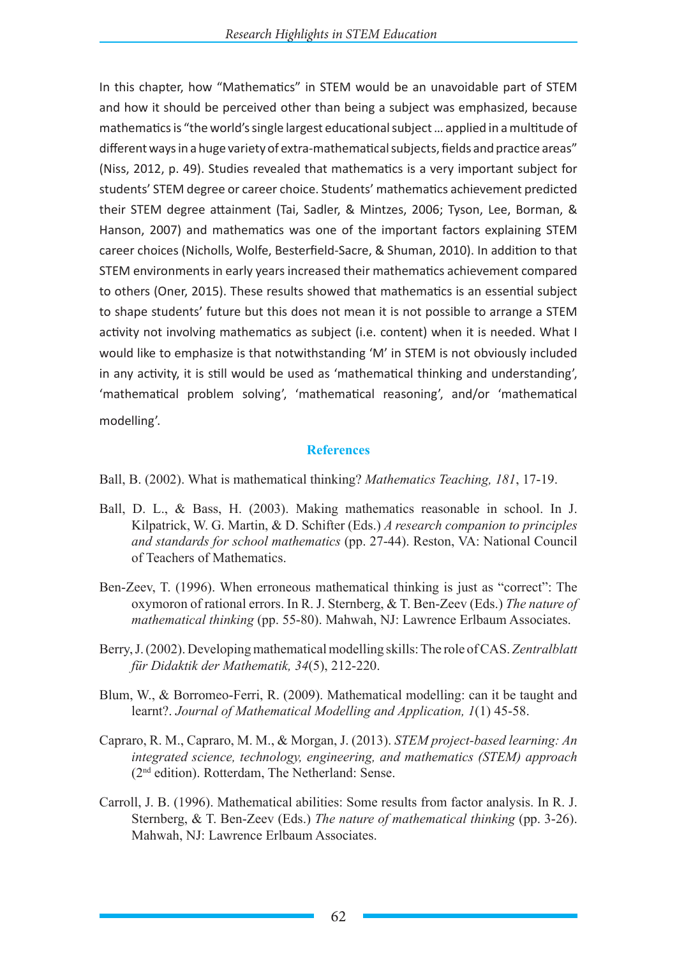In this chapter, how "Mathematics" in STEM would be an unavoidable part of STEM and how it should be perceived other than being a subject was emphasized, because mathematics is "the world's single largest educational subject … applied in a multitude of different ways in a huge variety of extra-mathematical subjects, fields and practice areas" (Niss, 2012, p. 49). Studies revealed that mathematics is a very important subject for students' STEM degree or career choice. Students' mathematics achievement predicted their STEM degree attainment (Tai, Sadler, & Mintzes, 2006; Tyson, Lee, Borman, & Hanson, 2007) and mathematics was one of the important factors explaining STEM career choices (Nicholls, Wolfe, Besterfield-Sacre, & Shuman, 2010). In addition to that STEM environments in early years increased their mathematics achievement compared to others (Oner, 2015). These results showed that mathematics is an essential subject to shape students' future but this does not mean it is not possible to arrange a STEM activity not involving mathematics as subject (i.e. content) when it is needed. What I would like to emphasize is that notwithstanding 'M' in STEM is not obviously included in any activity, it is still would be used as 'mathematical thinking and understanding', 'mathematical problem solving', 'mathematical reasoning', and/or 'mathematical modelling'.

### **References**

Ball, B. (2002). What is mathematical thinking? *Mathematics Teaching, 181*, 17-19.

- Ball, D. L., & Bass, H. (2003). Making mathematics reasonable in school. In J. Kilpatrick, W. G. Martin, & D. Schifter (Eds.) *A research companion to principles and standards for school mathematics* (pp. 27-44). Reston, VA: National Council of Teachers of Mathematics.
- Ben-Zeev, T. (1996). When erroneous mathematical thinking is just as "correct": The oxymoron of rational errors. In R. J. Sternberg, & T. Ben-Zeev (Eds.) *The nature of mathematical thinking* (pp. 55-80). Mahwah, NJ: Lawrence Erlbaum Associates.
- Berry, J. (2002). Developing mathematical modelling skills: The role of CAS. *Zentralblatt für Didaktik der Mathematik, 34*(5), 212-220.
- Blum, W., & Borromeo-Ferri, R. (2009). Mathematical modelling: can it be taught and learnt?. *Journal of Mathematical Modelling and Application, 1*(1) 45-58.
- Capraro, R. M., Capraro, M. M., & Morgan, J. (2013). *STEM project-based learning: An integrated science, technology, engineering, and mathematics (STEM) approach*  (2nd edition). Rotterdam, The Netherland: Sense.
- Carroll, J. B. (1996). Mathematical abilities: Some results from factor analysis. In R. J. Sternberg, & T. Ben-Zeev (Eds.) *The nature of mathematical thinking* (pp. 3-26). Mahwah, NJ: Lawrence Erlbaum Associates.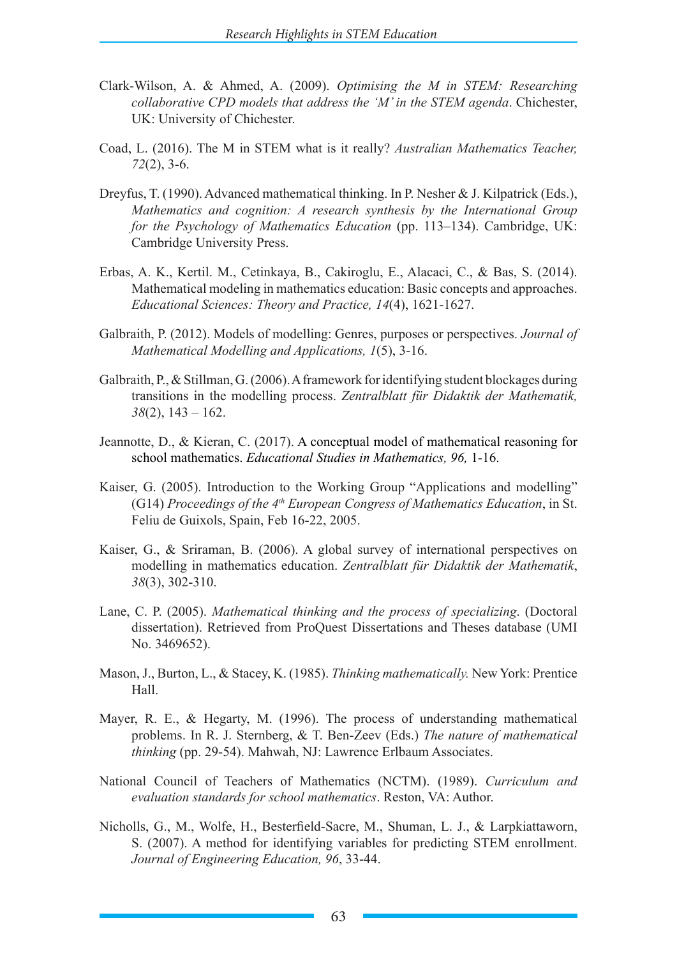- Clark-Wilson, A. & Ahmed, A. (2009). *Optimising the M in STEM: Researching collaborative CPD models that address the 'M' in the STEM agenda*. Chichester, UK: University of Chichester.
- Coad, L. (2016). The M in STEM what is it really? *Australian Mathematics Teacher, 72*(2), 3-6.
- Dreyfus, T. (1990). Advanced mathematical thinking. In P. Nesher & J. Kilpatrick (Eds.), *Mathematics and cognition: A research synthesis by the International Group for the Psychology of Mathematics Education* (pp. 113–134). Cambridge, UK: Cambridge University Press.
- Erbas, A. K., Kertil. M., Cetinkaya, B., Cakiroglu, E., Alacaci, C., & Bas, S. (2014). Mathematical modeling in mathematics education: Basic concepts and approaches. *Educational Sciences: Theory and Practice, 14*(4), 1621-1627.
- Galbraith, P. (2012). Models of modelling: Genres, purposes or perspectives. *Journal of Mathematical Modelling and Applications, 1*(5), 3-16.
- Galbraith, P., & Stillman, G. (2006). A framework for identifying student blockages during transitions in the modelling process. *Zentralblatt für Didaktik der Mathematik, 38*(2), 143 – 162.
- Jeannotte, D., & Kieran, C. (2017). A conceptual model of mathematical reasoning for school mathematics. *Educational Studies in Mathematics, 96,* 1-16.
- Kaiser, G. (2005). Introduction to the Working Group "Applications and modelling" (G14) *Proceedings of the 4th European Congress of Mathematics Education*, in St. Feliu de Guixols, Spain, Feb 16-22, 2005.
- Kaiser, G., & Sriraman, B. (2006). A global survey of international perspectives on modelling in mathematics education. *Zentralblatt für Didaktik der Mathematik*, *38*(3), 302-310.
- Lane, C. P. (2005). *Mathematical thinking and the process of specializing*. (Doctoral dissertation). Retrieved from ProQuest Dissertations and Theses database (UMI No. 3469652).
- Mason, J., Burton, L., & Stacey, K. (1985). *Thinking mathematically.* New York: Prentice Hall.
- Mayer, R. E., & Hegarty, M. (1996). The process of understanding mathematical problems. In R. J. Sternberg, & T. Ben-Zeev (Eds.) *The nature of mathematical thinking* (pp. 29-54). Mahwah, NJ: Lawrence Erlbaum Associates.
- National Council of Teachers of Mathematics (NCTM). (1989). *Curriculum and evaluation standards for school mathematics*. Reston, VA: Author.
- Nicholls, G., M., Wolfe, H., Besterfield-Sacre, M., Shuman, L. J., & Larpkiattaworn, S. (2007). A method for identifying variables for predicting STEM enrollment. *Journal of Engineering Education, 96*, 33-44.